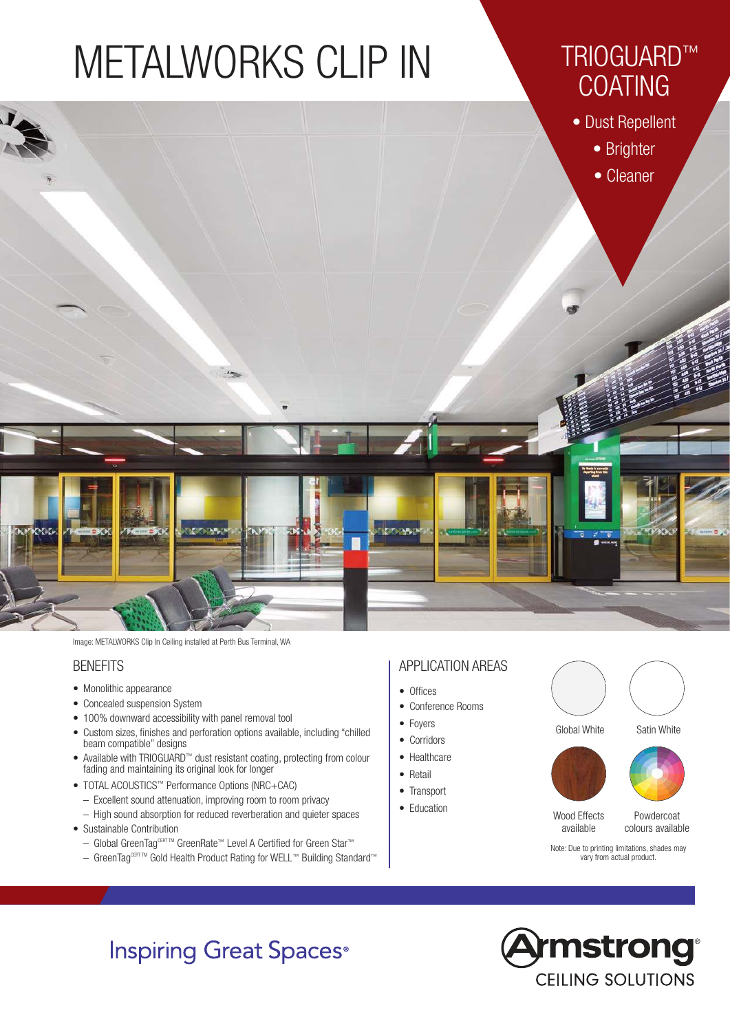# METALWORKS CLIP IN

# TRIOGUARD™ **COATING**

• Dust Repellent



Image: METALWORKS Clip In Ceiling installed at Perth Bus Terminal, WA

### **BENEFITS**

- Monolithic appearance
- Concealed suspension System
- 100% downward accessibility with panel removal tool
- Custom sizes, finishes and perforation options available, including "chilled beam compatible" designs
- Available with TRIOGUARD™ dust resistant coating, protecting from colour fading and maintaining its original look for longer
- TOTAL ACOUSTICS™ Performance Options (NRC+CAC)
	- Excellent sound attenuation, improving room to room privacy
	- High sound absorption for reduced reverberation and quieter spaces
- Sustainable Contribution
	- Global GreenTag<sup>CERT TM</sup> GreenRate<sup>™</sup> Level A Certified for Green Star<sup>™</sup>
	- GreenTag<sup>CERT TM</sup> Gold Health Product Rating for WELL™ Building Standard™

### APPLICATION AREAS

- Offices
- Conference Rooms
- 
- Foyers
- Corridors
- Healthcare
- Retail
- Transport
- Education







Powdercoat colours available

Note: Due to printing limitations, shades may vary from actual product.

## **Inspiring Great Spaces**<sup>®</sup>